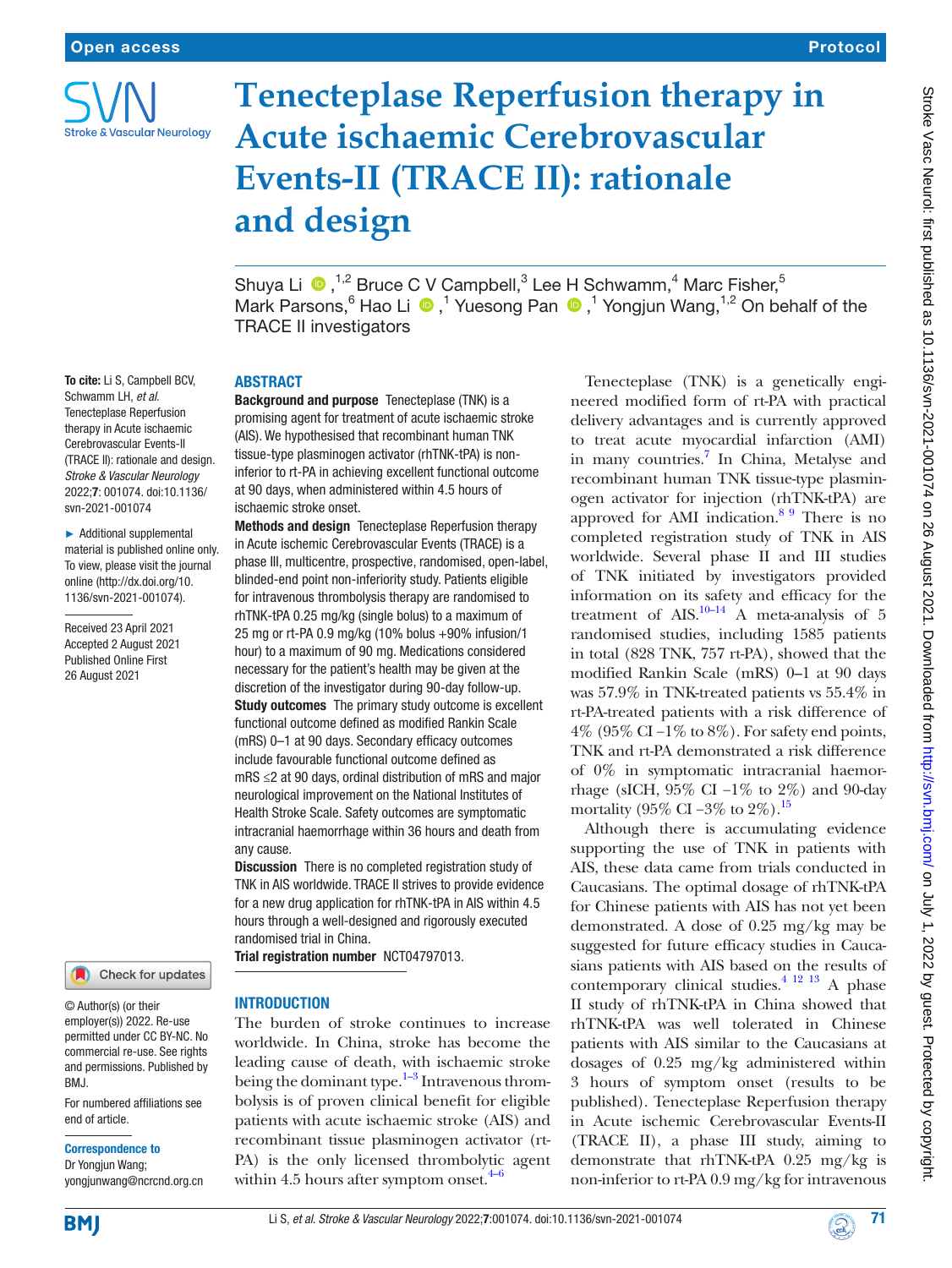

## Protocol

# **Tenecteplase Reperfusion therapy in Acute ischaemic Cerebrovascular Events-II (TRACE II): rationale**

ShuyaLi  $\bullet$  ,<sup>1,2</sup> Bruce C V Campbell,<sup>3</sup> Lee H Schwamm,<sup>4</sup> Marc Fisher,<sup>5</sup> MarkParsons,  $6$  Hao Li  $\bullet$ ,  $1$  Yuesong Pan  $\bullet$ ,  $1$  Yongjun Wang,  $1,2$  On behalf of the TRACE II investigators

#### **ABSTRACT**

**and design**

Background and purpose Tenecteplase (TNK) is a promising agent for treatment of acute ischaemic stroke (AIS). We hypothesised that recombinant human TNK tissue-type plasminogen activator (rhTNK-tPA) is noninferior to rt-PA in achieving excellent functional outcome at 90 days, when administered within 4.5 hours of ischaemic stroke onset.

Methods and design Tenecteplase Reperfusion therapy in Acute ischemic Cerebrovascular Events (TRACE) is a phase III, multicentre, prospective, randomised, open-label, blinded-end point non-inferiority study. Patients eligible for intravenous thrombolysis therapy are randomised to rhTNK-tPA 0.25 mg/kg (single bolus) to a maximum of 25 mg or rt-PA 0.9 mg/kg (10% bolus +90% infusion/1 hour) to a maximum of 90 mg. Medications considered necessary for the patient's health may be given at the discretion of the investigator during 90-day follow-up. **Study outcomes** The primary study outcome is excellent functional outcome defined as modified Rankin Scale (mRS) 0–1 at 90 days. Secondary efficacy outcomes include favourable functional outcome defined as mRS ≤2 at 90 days, ordinal distribution of mRS and major neurological improvement on the National Institutes of Health Stroke Scale. Safety outcomes are symptomatic intracranial haemorrhage within 36 hours and death from any cause.

Discussion There is no completed registration study of TNK in AIS worldwide. TRACE II strives to provide evidence for a new drug application for rhTNK-tPA in AIS within 4.5 hours through a well-designed and rigorously executed randomised trial in China.

Trial registration number <NCT04797013>.

#### **INTRODUCTION**

The burden of stroke continues to increase worldwide. In China, stroke has become the leading cause of death, with ischaemic stroke being the dominant type. $1-3$  Intravenous thrombolysis is of proven clinical benefit for eligible patients with acute ischaemic stroke (AIS) and recombinant tissue plasminogen activator (rt-PA) is the only licensed thrombolytic agent within 4.5 hours after symptom onset. $4-6$ 

Tenecteplase (TNK) is a genetically engineered modified form of rt-PA with practical delivery advantages and is currently approved to treat acute myocardial infarction (AMI) in many countries.<sup>[7](#page-4-2)</sup> In China, Metalyse and recombinant human TNK tissue-type plasminogen activator for injection (rhTNK-tPA) are approved for AMI indication. $89$  There is no completed registration study of TNK in AIS worldwide. Several phase II and III studies of TNK initiated by investigators provided information on its safety and efficacy for the treatment of AIS. $10-14$  A meta-analysis of 5 randomised studies, including 1585 patients in total (828 TNK, 757 rt-PA), showed that the modified Rankin Scale (mRS) 0–1 at 90 days was 57.9% in TNK-treated patients vs 55.4% in rt-PA-treated patients with a risk difference of 4% (95% CI −1% to 8%). For safety end points, TNK and rt-PA demonstrated a risk difference of 0% in symptomatic intracranial haemorrhage (sICH, 95% CI −1% to 2%) and 90-day mortality (95% CI –3% to 2%).<sup>[15](#page-5-2)</sup>

Although there is accumulating evidence supporting the use of TNK in patients with AIS, these data came from trials conducted in Caucasians. The optimal dosage of rhTNK-tPA for Chinese patients with AIS has not yet been demonstrated. A dose of 0.25 mg/kg may be suggested for future efficacy studies in Caucasians patients with AIS based on the results of contemporary clinical studies. $4^{12}$  13 A phase II study of rhTNK-tPA in China showed that rhTNK-tPA was well tolerated in Chinese patients with AIS similar to the Caucasians at dosages of 0.25 mg/kg administered within 3 hours of symptom onset (results to be published). Tenecteplase Reperfusion therapy in Acute ischemic Cerebrovascular Events-II (TRACE II), a phase III study, aiming to demonstrate that rhTNK-tPA 0.25 mg/kg is non-inferior to rt-PA 0.9 mg/kg for intravenous

► Additional supplemental material is published online only. To view, please visit the journal online [\(http://dx.doi.org/10.](http://dx.doi.org/10.1136/svn-2021-001074) [1136/svn-2021-001074](http://dx.doi.org/10.1136/svn-2021-001074)).

Received 23 April 2021 Accepted 2 August 2021 Published Online First 26 August 2021



© Author(s) (or their employer(s)) 2022. Re-use permitted under CC BY-NC. No commercial re-use. See rights and permissions. Published by BMJ.

For numbered affiliations see end of article.

#### Correspondence to

Dr Yongjun Wang; yongjunwang@ncrcnd.org.cn

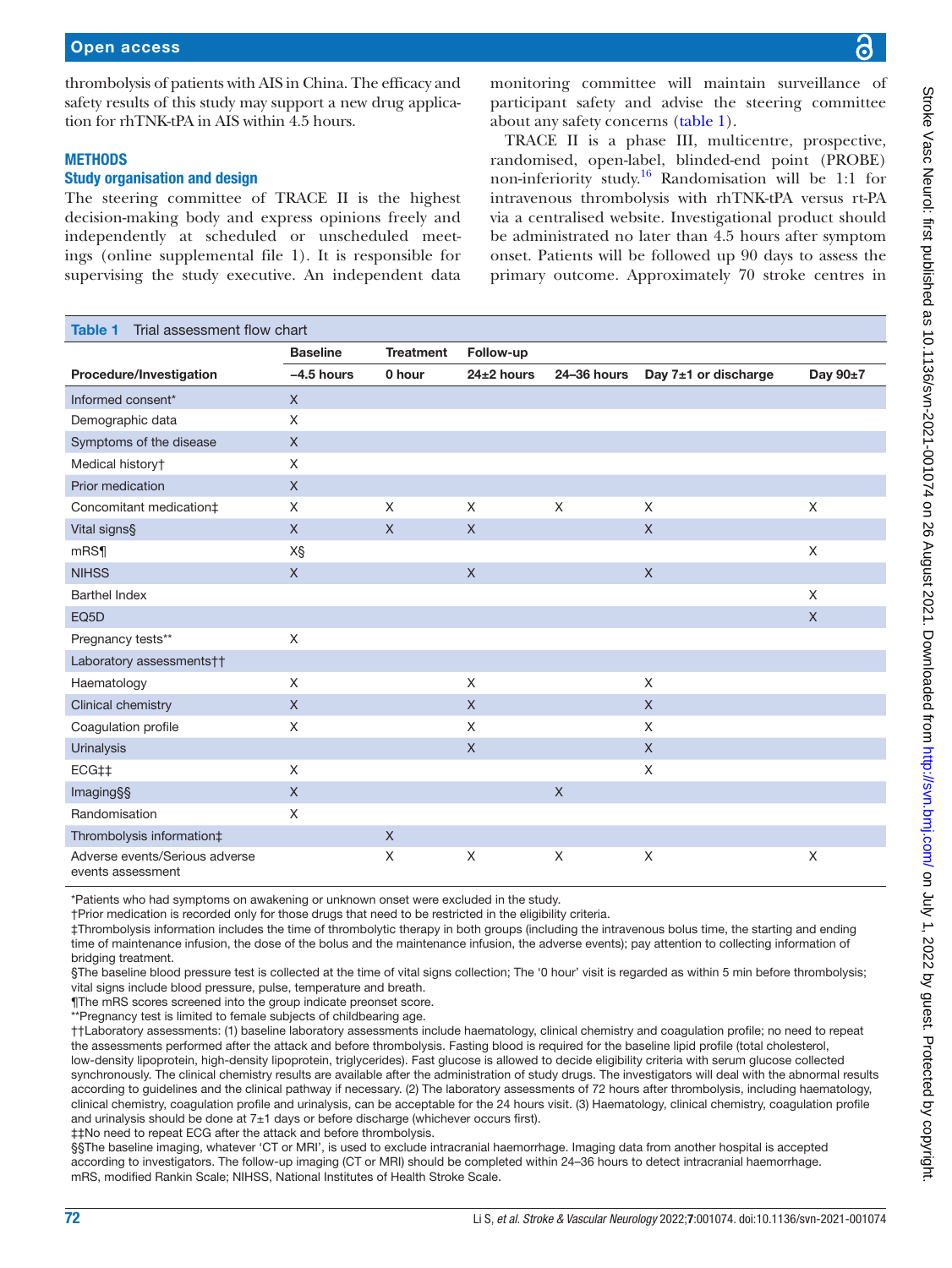ings [\(online supplemental file 1](https://dx.doi.org/10.1136/svn-2021-001074)). It is responsible for supervising the study executive. An independent data

participant safety and advise the steering committee about any safety concerns [\(table](#page-1-0) 1). TRACE II is a phase III, multicentre, prospective, randomised, open-label, blinded-end point (PROBE) non-inferiority study.<sup>16</sup> Randomisation will be 1:1 for intravenous thrombolysis with rhTNK-tPA versus rt-PA

via a centralised website. Investigational product should be administrated no later than 4.5 hours after symptom onset. Patients will be followed up 90 days to assess the primary outcome. Approximately 70 stroke centres in

<span id="page-1-0"></span>

| <b>Table 1</b><br>Trial assessment flow chart       |                 |                  |                |             |                      |          |
|-----------------------------------------------------|-----------------|------------------|----------------|-------------|----------------------|----------|
|                                                     | <b>Baseline</b> | <b>Treatment</b> | Follow-up      |             |                      |          |
| Procedure/Investigation                             | $-4.5$ hours    | 0 hour           | $24\pm2$ hours | 24-36 hours | Day 7±1 or discharge | Day 90±7 |
| Informed consent*                                   | $\mathsf{X}$    |                  |                |             |                      |          |
| Demographic data                                    | X               |                  |                |             |                      |          |
| Symptoms of the disease                             | $\mathsf X$     |                  |                |             |                      |          |
| Medical history†                                    | X               |                  |                |             |                      |          |
| Prior medication                                    | X               |                  |                |             |                      |          |
| Concomitant medication‡                             | X               | X                | $\times$       | X           | $\times$             | X        |
| Vital signs§                                        | X               | X                | $\times$       |             | $\times$             |          |
| mRS                                                 | X§              |                  |                |             |                      | X        |
| <b>NIHSS</b>                                        | X               |                  | $\mathsf{X}$   |             | $\chi$               |          |
| <b>Barthel Index</b>                                |                 |                  |                |             |                      | X        |
| EQ <sub>5</sub> D                                   |                 |                  |                |             |                      | $\times$ |
| Pregnancy tests**                                   | X               |                  |                |             |                      |          |
| Laboratory assessments††                            |                 |                  |                |             |                      |          |
| Haematology                                         | X               |                  | X              |             | X                    |          |
| Clinical chemistry                                  | $\mathsf{X}$    |                  | $\times$       |             | $\times$             |          |
| Coagulation profile                                 | X               |                  | $\times$       |             | X                    |          |
| <b>Urinalysis</b>                                   |                 |                  | $\mathsf{X}$   |             | $\times$             |          |
| ECG##                                               | X               |                  |                |             | $\times$             |          |
| Imaging§§                                           | X               |                  |                | $\mathsf X$ |                      |          |
| Randomisation                                       | X               |                  |                |             |                      |          |
| Thrombolysis information‡                           |                 | $\mathsf{X}$     |                |             |                      |          |
| Adverse events/Serious adverse<br>events assessment |                 | X                | X              | X           | X                    | X        |

\*Patients who had symptoms on awakening or unknown onset were excluded in the study.

†Prior medication is recorded only for those drugs that need to be restricted in the eligibility criteria.

‡Thrombolysis information includes the time of thrombolytic therapy in both groups (including the intravenous bolus time, the starting and ending time of maintenance infusion, the dose of the bolus and the maintenance infusion, the adverse events); pay attention to collecting information of bridging treatment.

§The baseline blood pressure test is collected at the time of vital signs collection; The '0 hour' visit is regarded as within 5 min before thrombolysis; vital signs include blood pressure, pulse, temperature and breath.

¶The mRS scores screened into the group indicate preonset score.

\*\*Pregnancy test is limited to female subjects of childbearing age.

††Laboratory assessments: (1) baseline laboratory assessments include haematology, clinical chemistry and coagulation profile; no need to repeat the assessments performed after the attack and before thrombolysis. Fasting blood is required for the baseline lipid profile (total cholesterol, low-density lipoprotein, high-density lipoprotein, triglycerides). Fast glucose is allowed to decide eligibility criteria with serum glucose collected synchronously. The clinical chemistry results are available after the administration of study drugs. The investigators will deal with the abnormal results according to guidelines and the clinical pathway if necessary. (2) The laboratory assessments of 72 hours after thrombolysis, including haematology, clinical chemistry, coagulation profile and urinalysis, can be acceptable for the 24 hours visit. (3) Haematology, clinical chemistry, coagulation profile and urinalysis should be done at  $7±1$  days or before discharge (whichever occurs first). ‡‡No need to repeat ECG after the attack and before thrombolysis.

§§The baseline imaging, whatever 'CT or MRI', is used to exclude intracranial haemorrhage. Imaging data from another hospital is accepted according to investigators. The follow-up imaging (CT or MRI) should be completed within 24–36 hours to detect intracranial haemorrhage. mRS, modified Rankin Scale; NIHSS, National Institutes of Health Stroke Scale.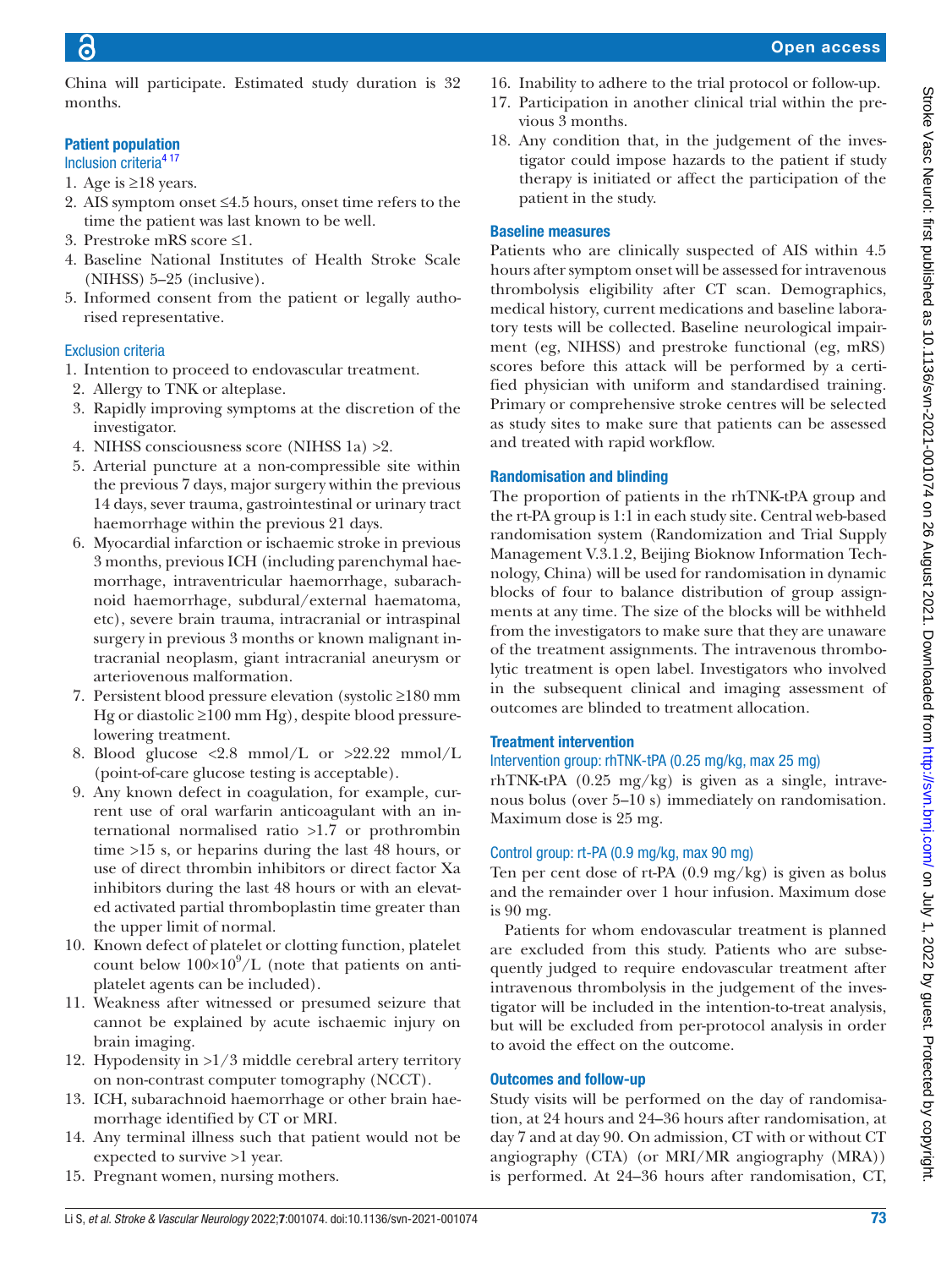China will participate. Estimated study duration is 32 months.

#### Patient population

- Inclusion criteri[a4 17](#page-4-1)
- 1. Age is  $\geq$ 18 years.
- 2. AIS symptom onset ≤4.5 hours, onset time refers to the time the patient was last known to be well.
- 3. Prestroke mRS score ≤1.
- 4. Baseline National Institutes of Health Stroke Scale (NIHSS) 5–25 (inclusive).
- 5. Informed consent from the patient or legally authorised representative.

#### Exclusion criteria

- 1. Intention to proceed to endovascular treatment.
- 2. Allergy to TNK or alteplase.
- 3. Rapidly improving symptoms at the discretion of the investigator.
- 4. NIHSS consciousness score (NIHSS 1a) >2.
- 5. Arterial puncture at a non-compressible site within the previous 7 days, major surgery within the previous 14 days, sever trauma, gastrointestinal or urinary tract haemorrhage within the previous 21 days.
- 6. Myocardial infarction or ischaemic stroke in previous 3 months, previous ICH (including parenchymal haemorrhage, intraventricular haemorrhage, subarachnoid haemorrhage, subdural/external haematoma, etc), severe brain trauma, intracranial or intraspinal surgery in previous 3 months or known malignant intracranial neoplasm, giant intracranial aneurysm or arteriovenous malformation.
- 7. Persistent blood pressure elevation (systolic ≥180 mm Hg or diastolic ≥100 mm Hg), despite blood pressurelowering treatment.
- 8. Blood glucose <2.8 mmol/L or >22.22 mmol/L (point-of-care glucose testing is acceptable).
- 9. Any known defect in coagulation, for example, current use of oral warfarin anticoagulant with an international normalised ratio >1.7 or prothrombin time >15 s, or heparins during the last 48 hours, or use of direct thrombin inhibitors or direct factor Xa inhibitors during the last 48 hours or with an elevated activated partial thromboplastin time greater than the upper limit of normal.
- 10. Known defect of platelet or clotting function, platelet count below  $100 \times 10^9$ /L (note that patients on antiplatelet agents can be included).
- 11. Weakness after witnessed or presumed seizure that cannot be explained by acute ischaemic injury on brain imaging.
- 12. Hypodensity in >1/3 middle cerebral artery territory on non-contrast computer tomography (NCCT).
- 13. ICH, subarachnoid haemorrhage or other brain haemorrhage identified by CT or MRI.
- 14. Any terminal illness such that patient would not be expected to survive >1 year.
- 15. Pregnant women, nursing mothers.

16. Inability to adhere to the trial protocol or follow-up.

#### 17. Participation in another clinical trial within the previous 3 months.

18. Any condition that, in the judgement of the investigator could impose hazards to the patient if study therapy is initiated or affect the participation of the patient in the study.

#### Baseline measures

Patients who are clinically suspected of AIS within 4.5 hours after symptom onset will be assessed for intravenous thrombolysis eligibility after CT scan. Demographics, medical history, current medications and baseline laboratory tests will be collected. Baseline neurological impairment (eg, NIHSS) and prestroke functional (eg, mRS) scores before this attack will be performed by a certified physician with uniform and standardised training. Primary or comprehensive stroke centres will be selected as study sites to make sure that patients can be assessed and treated with rapid workflow.

#### Randomisation and blinding

The proportion of patients in the rhTNK-tPA group and the rt-PA group is 1:1 in each study site. Central web-based randomisation system (Randomization and Trial Supply Management V.3.1.2, Beijing Bioknow Information Technology, China) will be used for randomisation in dynamic blocks of four to balance distribution of group assignments at any time. The size of the blocks will be withheld from the investigators to make sure that they are unaware of the treatment assignments. The intravenous thrombolytic treatment is open label. Investigators who involved in the subsequent clinical and imaging assessment of outcomes are blinded to treatment allocation.

#### Treatment intervention

### Intervention group: rhTNK-tPA (0.25 mg/kg, max 25 mg)

rhTNK-tPA (0.25 mg/kg) is given as a single, intravenous bolus (over 5–10 s) immediately on randomisation. Maximum dose is 25 mg.

#### Control group: rt-PA (0.9 mg/kg, max 90 mg)

Ten per cent dose of rt-PA (0.9 mg/kg) is given as bolus and the remainder over 1 hour infusion. Maximum dose is 90 mg.

Patients for whom endovascular treatment is planned are excluded from this study. Patients who are subsequently judged to require endovascular treatment after intravenous thrombolysis in the judgement of the investigator will be included in the intention-to-treat analysis, but will be excluded from per-protocol analysis in order to avoid the effect on the outcome.

#### Outcomes and follow-up

Study visits will be performed on the day of randomisation, at 24 hours and 24–36 hours after randomisation, at day 7 and at day 90. On admission, CT with or without CT angiography (CTA) (or MRI/MR angiography (MRA)) is performed. At 24–36 hours after randomisation, CT,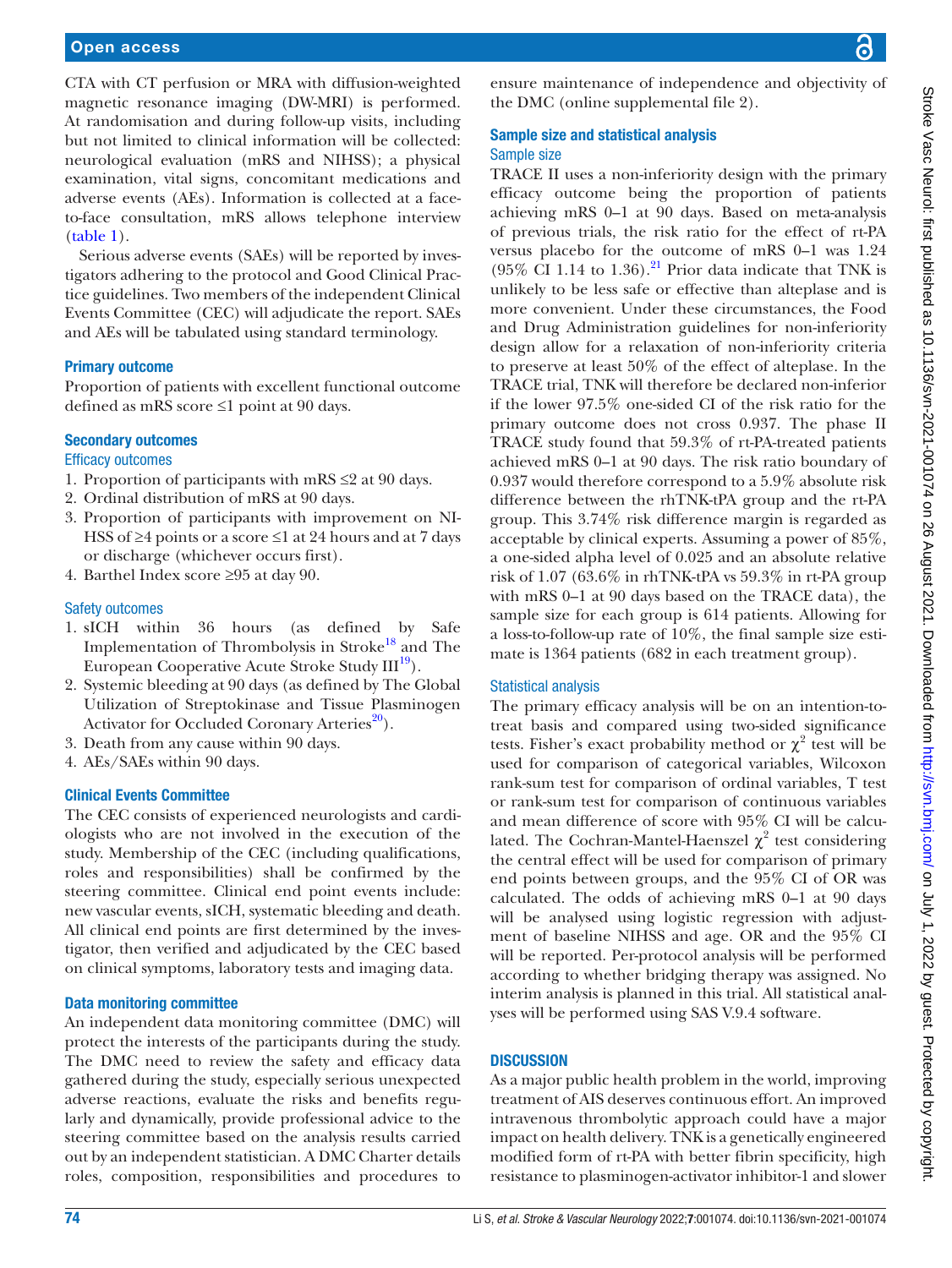CTA with CT perfusion or MRA with diffusion-weighted magnetic resonance imaging (DW-MRI) is performed. At randomisation and during follow-up visits, including but not limited to clinical information will be collected: neurological evaluation (mRS and NIHSS); a physical examination, vital signs, concomitant medications and adverse events (AEs). Information is collected at a faceto-face consultation, mRS allows telephone interview ([table](#page-1-0) 1).

Serious adverse events (SAEs) will be reported by investigators adhering to the protocol and Good Clinical Practice guidelines. Two members of the independent Clinical Events Committee (CEC) will adjudicate the report. SAEs and AEs will be tabulated using standard terminology.

#### Primary outcome

Proportion of patients with excellent functional outcome defined as mRS score ≤1 point at 90 days.

#### Secondary outcomes

#### Efficacy outcomes

- 1. Proportion of participants with mRS  $\leq$ 2 at 90 days.
- 2. Ordinal distribution of mRS at 90 days.
- 3. Proportion of participants with improvement on NI-HSS of ≥4 points or a score ≤1 at 24 hours and at 7 days or discharge (whichever occurs first).
- 4. Barthel Index score ≥95 at day 90.

#### Safety outcomes

- 1. sICH within 36 hours (as defined by Safe Implementation of Thrombolysis in Stroke<sup>18</sup> and The European Cooperative Acute Stroke Study III<sup>19</sup>).
- 2. Systemic bleeding at 90 days (as defined by The Global Utilization of Streptokinase and Tissue Plasminogen Activator for Occluded Coronary Arteries<sup>20</sup>).
- 3. Death from any cause within 90 days.
- 4. AEs/SAEs within 90 days.

#### Clinical Events Committee

The CEC consists of experienced neurologists and cardiologists who are not involved in the execution of the study. Membership of the CEC (including qualifications, roles and responsibilities) shall be confirmed by the steering committee. Clinical end point events include: new vascular events, sICH, systematic bleeding and death. All clinical end points are first determined by the investigator, then verified and adjudicated by the CEC based on clinical symptoms, laboratory tests and imaging data.

#### Data monitoring committee

An independent data monitoring committee (DMC) will protect the interests of the participants during the study. The DMC need to review the safety and efficacy data gathered during the study, especially serious unexpected adverse reactions, evaluate the risks and benefits regularly and dynamically, provide professional advice to the steering committee based on the analysis results carried out by an independent statistician. A DMC Charter details roles, composition, responsibilities and procedures to

ensure maintenance of independence and objectivity of the DMC ([online supplemental file 2\)](https://dx.doi.org/10.1136/svn-2021-001074).

#### Sample size and statistical analysis Sample size

TRACE II uses a non-inferiority design with the primary efficacy outcome being the proportion of patients achieving mRS 0–1 at 90 days. Based on meta-analysis of previous trials, the risk ratio for the effect of rt-PA versus placebo for the outcome of mRS 0–1 was 1.24 (95% CI 1.14 to 1.36).<sup>21</sup> Prior data indicate that TNK is unlikely to be less safe or effective than alteplase and is more convenient. Under these circumstances, the Food and Drug Administration guidelines for non-inferiority design allow for a relaxation of non-inferiority criteria to preserve at least 50% of the effect of alteplase. In the TRACE trial, TNK will therefore be declared non-inferior if the lower 97.5% one-sided CI of the risk ratio for the primary outcome does not cross 0.937. The phase II TRACE study found that 59.3% of rt-PA-treated patients achieved mRS 0–1 at 90 days. The risk ratio boundary of 0.937 would therefore correspond to a 5.9% absolute risk difference between the rhTNK-tPA group and the rt-PA group. This 3.74% risk difference margin is regarded as acceptable by clinical experts. Assuming a power of 85%, a one-sided alpha level of 0.025 and an absolute relative risk of 1.07 (63.6% in rhTNK-tPA vs 59.3% in rt-PA group with mRS 0–1 at 90 days based on the TRACE data), the sample size for each group is 614 patients. Allowing for a loss-to-follow-up rate of 10%, the final sample size estimate is 1364 patients (682 in each treatment group).

#### Statistical analysis

The primary efficacy analysis will be on an intention-totreat basis and compared using two-sided significance tests. Fisher's exact probability method or  $\chi^2$  test will be used for comparison of categorical variables, Wilcoxon rank-sum test for comparison of ordinal variables, T test or rank-sum test for comparison of continuous variables and mean difference of score with 95% CI will be calculated. The Cochran-Mantel-Haenszel  $\chi^2$  test considering the central effect will be used for comparison of primary end points between groups, and the 95% CI of OR was calculated. The odds of achieving mRS 0–1 at 90 days will be analysed using logistic regression with adjustment of baseline NIHSS and age. OR and the 95% CI will be reported. Per-protocol analysis will be performed according to whether bridging therapy was assigned. No interim analysis is planned in this trial. All statistical analyses will be performed using SAS V.9.4 software.

#### **DISCUSSION**

As a major public health problem in the world, improving treatment of AIS deserves continuous effort. An improved intravenous thrombolytic approach could have a major impact on health delivery. TNK is a genetically engineered modified form of rt-PA with better fibrin specificity, high resistance to plasminogen-activator inhibitor-1 and slower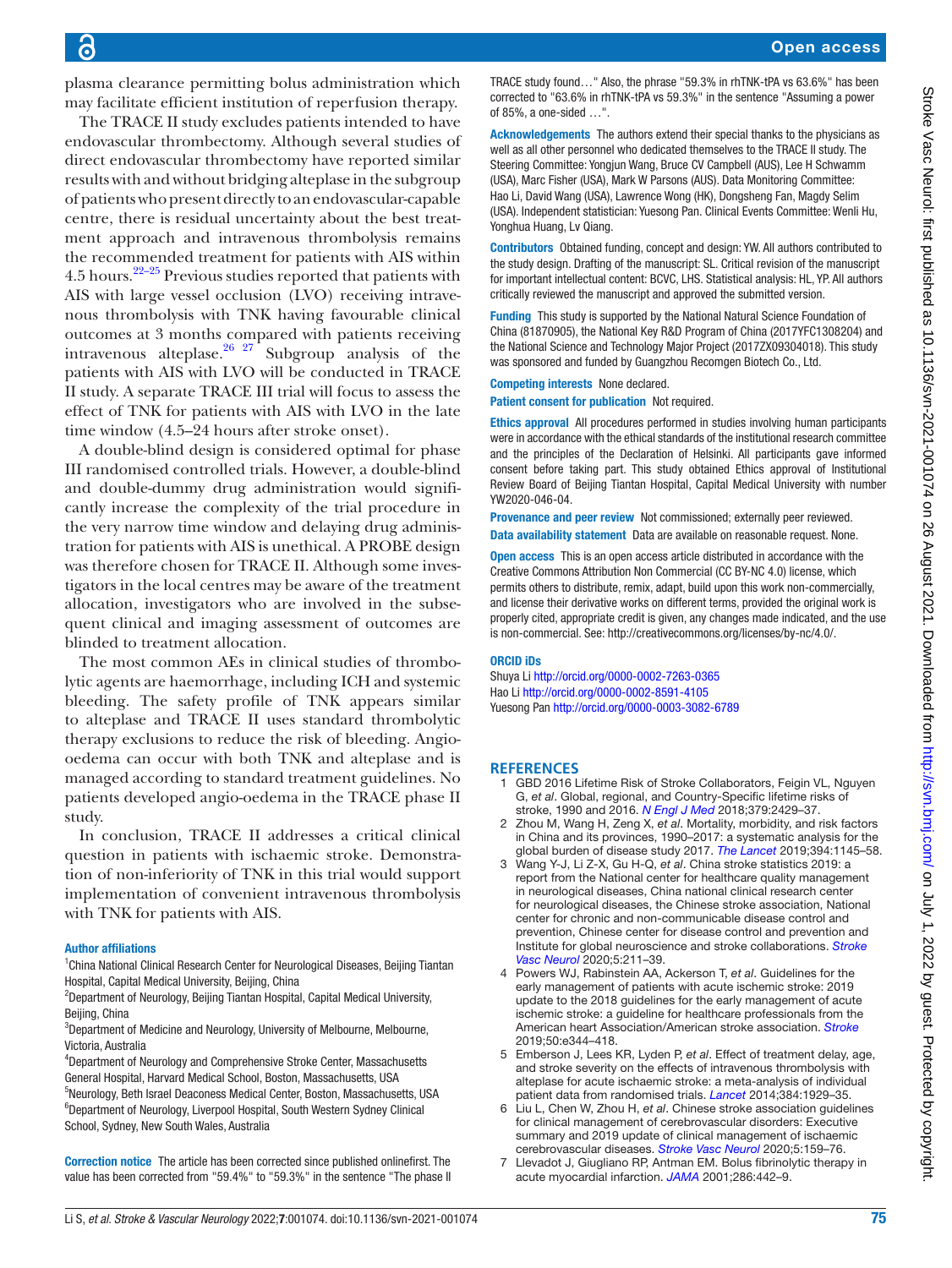Open access

plasma clearance permitting bolus administration which may facilitate efficient institution of reperfusion therapy.

The TRACE II study excludes patients intended to have endovascular thrombectomy. Although several studies of direct endovascular thrombectomy have reported similar results with and without bridging alteplase in the subgroup of patients who present directly to an endovascular-capable centre, there is residual uncertainty about the best treatment approach and intravenous thrombolysis remains the recommended treatment for patients with AIS within 4.5 hours[.22–25](#page-5-8) Previous studies reported that patients with AIS with large vessel occlusion (LVO) receiving intravenous thrombolysis with TNK having favourable clinical outcomes at 3 months compared with patients receiving intravenous alteplase.<sup>26</sup>  $27$  Subgroup analysis of the patients with AIS with LVO will be conducted in TRACE II study. A separate TRACE III trial will focus to assess the effect of TNK for patients with AIS with LVO in the late time window (4.5–24 hours after stroke onset).

A double-blind design is considered optimal for phase III randomised controlled trials. However, a double-blind and double-dummy drug administration would significantly increase the complexity of the trial procedure in the very narrow time window and delaying drug administration for patients with AIS is unethical. A PROBE design was therefore chosen for TRACE II. Although some investigators in the local centres may be aware of the treatment allocation, investigators who are involved in the subsequent clinical and imaging assessment of outcomes are blinded to treatment allocation.

The most common AEs in clinical studies of thrombolytic agents are haemorrhage, including ICH and systemic bleeding. The safety profile of TNK appears similar to alteplase and TRACE II uses standard thrombolytic therapy exclusions to reduce the risk of bleeding. Angiooedema can occur with both TNK and alteplase and is managed according to standard treatment guidelines. No patients developed angio-oedema in the TRACE phase II study.

In conclusion, TRACE II addresses a critical clinical question in patients with ischaemic stroke. Demonstration of non-inferiority of TNK in this trial would support implementation of convenient intravenous thrombolysis with TNK for patients with AIS.

#### Author affiliations

<sup>1</sup> China National Clinical Research Center for Neurological Diseases, Beijing Tiantan Hospital, Capital Medical University, Beijing, China

<sup>2</sup>Department of Neurology, Beijing Tiantan Hospital, Capital Medical University, Beijing, China

<sup>3</sup>Department of Medicine and Neurology, University of Melbourne, Melbourne, Victoria, Australia

4 Department of Neurology and Comprehensive Stroke Center, Massachusetts General Hospital, Harvard Medical School, Boston, Massachusetts, USA 5 Neurology, Beth Israel Deaconess Medical Center, Boston, Massachusetts, USA <sup>6</sup>Department of Neurology, Liverpool Hospital, South Western Sydney Clinical School, Sydney, New South Wales, Australia

Correction notice The article has been corrected since published onlinefirst. The value has been corrected from "59.4%" to "59.3%" in the sentence "The phase II

TRACE study found…" Also, the phrase "59.3% in rhTNK-tPA vs 63.6%" has been corrected to "63.6% in rhTNK-tPA vs 59.3%" in the sentence "Assuming a power of 85%, a one-sided …".

Acknowledgements The authors extend their special thanks to the physicians as well as all other personnel who dedicated themselves to the TRACE II study. The Steering Committee: Yongiun Wang, Bruce CV Campbell (AUS), Lee H Schwamm (USA), Marc Fisher (USA), Mark W Parsons (AUS). Data Monitoring Committee: Hao Li, David Wang (USA), Lawrence Wong (HK), Dongsheng Fan, Magdy Selim (USA). Independent statistician: Yuesong Pan. Clinical Events Committee: Wenli Hu, Yonghua Huang, Lv Qiang.

Contributors Obtained funding, concept and design: YW. All authors contributed to the study design. Drafting of the manuscript: SL. Critical revision of the manuscript for important intellectual content: BCVC, LHS. Statistical analysis: HL, YP. All authors critically reviewed the manuscript and approved the submitted version.

Funding This study is supported by the National Natural Science Foundation of China (81870905), the National Key R&D Program of China (2017YFC1308204) and the National Science and Technology Major Project (2017ZX09304018). This study was sponsored and funded by Guangzhou Recomgen Biotech Co., Ltd.

Competing interests None declared.

Patient consent for publication Not required.

Ethics approval All procedures performed in studies involving human participants were in accordance with the ethical standards of the institutional research committee and the principles of the Declaration of Helsinki. All participants gave informed consent before taking part. This study obtained Ethics approval of Institutional Review Board of Beijing Tiantan Hospital, Capital Medical University with number YW2020-046-04.

Provenance and peer review Not commissioned; externally peer reviewed. Data availability statement Data are available on reasonable request. None.

Open access This is an open access article distributed in accordance with the Creative Commons Attribution Non Commercial (CC BY-NC 4.0) license, which permits others to distribute, remix, adapt, build upon this work non-commercially, and license their derivative works on different terms, provided the original work is properly cited, appropriate credit is given, any changes made indicated, and the use is non-commercial. See: [http://creativecommons.org/licenses/by-nc/4.0/.](http://creativecommons.org/licenses/by-nc/4.0/)

#### ORCID iDs

Shuya Li<http://orcid.org/0000-0002-7263-0365> Hao Li<http://orcid.org/0000-0002-8591-4105> Yuesong Pan<http://orcid.org/0000-0003-3082-6789>

#### **REFERENCES**

- <span id="page-4-0"></span>1 GBD 2016 Lifetime Risk of Stroke Collaborators, Feigin VL, Nguyen G, *et al*. Global, regional, and Country-Specific lifetime risks of stroke, 1990 and 2016. *[N Engl J Med](http://dx.doi.org/10.1056/NEJMoa1804492)* 2018;379:2429–37.
- 2 Zhou M, Wang H, Zeng X, *et al*. Mortality, morbidity, and risk factors in China and its provinces, 1990–2017: a systematic analysis for the global burden of disease study 2017. *[The Lancet](http://dx.doi.org/10.1016/S0140-6736(19)30427-1)* 2019;394:1145–58.
- 3 Wang Y-J, Li Z-X, Gu H-Q, *et al*. China stroke statistics 2019: a report from the National center for healthcare quality management in neurological diseases, China national clinical research center for neurological diseases, the Chinese stroke association, National center for chronic and non-communicable disease control and prevention, Chinese center for disease control and prevention and Institute for global neuroscience and stroke collaborations. *[Stroke](http://dx.doi.org/10.1136/svn-2020-000457)  [Vasc Neurol](http://dx.doi.org/10.1136/svn-2020-000457)* 2020;5:211–39.
- <span id="page-4-1"></span>4 Powers WJ, Rabinstein AA, Ackerson T, *et al*. Guidelines for the early management of patients with acute ischemic stroke: 2019 update to the 2018 guidelines for the early management of acute ischemic stroke: a guideline for healthcare professionals from the American heart Association/American stroke association. *[Stroke](http://dx.doi.org/10.1161/STR.0000000000000211)* 2019;50:e344–418.
- 5 Emberson J, Lees KR, Lyden P, *et al*. Effect of treatment delay, age, and stroke severity on the effects of intravenous thrombolysis with alteplase for acute ischaemic stroke: a meta-analysis of individual patient data from randomised trials. *[Lancet](http://dx.doi.org/10.1016/S0140-6736(14)60584-5)* 2014;384:1929–35.
- 6 Liu L, Chen W, Zhou H, *et al*. Chinese stroke association guidelines for clinical management of cerebrovascular disorders: Executive summary and 2019 update of clinical management of ischaemic cerebrovascular diseases. *[Stroke Vasc Neurol](http://dx.doi.org/10.1136/svn-2020-000378)* 2020;5:159–76.
- <span id="page-4-2"></span>7 Llevadot J, Giugliano RP, Antman EM. Bolus fibrinolytic therapy in acute myocardial infarction. *[JAMA](http://dx.doi.org/10.1001/jama.286.4.442)* 2001;286:442–9.